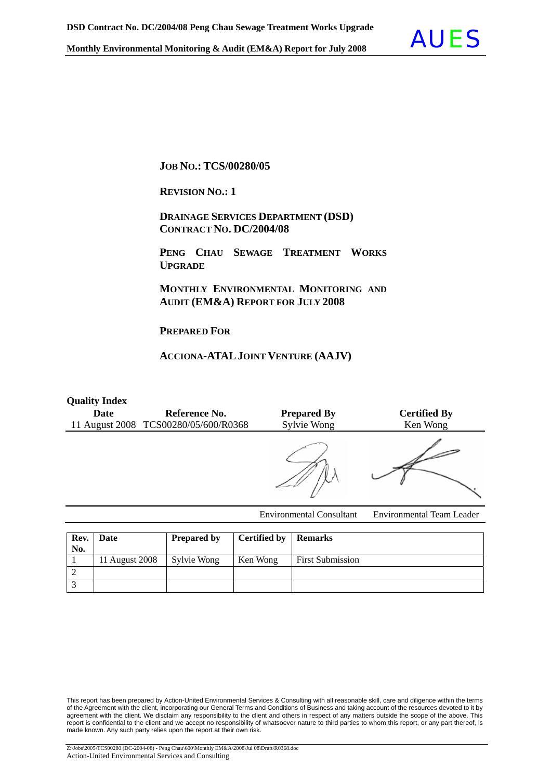

#### **JOB NO.: TCS/00280/05**

**REVISION NO.: 1** 

 **DRAINAGE SERVICES DEPARTMENT (DSD) CONTRACT NO. DC/2004/08**

 **PENG CHAU SEWAGE TREATMENT WORKS UPGRADE**

 **MONTHLY ENVIRONMENTAL MONITORING AND AUDIT (EM&A) REPORT FOR JULY 2008** 

**PREPARED FOR**

#### **ACCIONA-ATALJOINT VENTURE (AAJV)**

#### **Quality Index**

| <b>Date</b> | Reference No.<br>11 August 2008 TCS00280/05/600/R0368 | <b>Prepared By</b><br>Sylvie Wong | <b>Certified By</b><br>Ken Wong                                                                            |
|-------------|-------------------------------------------------------|-----------------------------------|------------------------------------------------------------------------------------------------------------|
|             |                                                       |                                   |                                                                                                            |
|             |                                                       |                                   | $\mathbf{r}$ , and $\mathbf{r}$ , $\mathbf{r}$ , $\mathbf{r}$ , $\mathbf{r}$ , $\mathbf{r}$ , $\mathbf{r}$ |

Environmental Consultant Environmental Team Leader

| No. | Rev. Date      | <b>Prepared by</b> | <b>Certified by   Remarks</b> |                         |
|-----|----------------|--------------------|-------------------------------|-------------------------|
|     | 11 August 2008 | Sylvie Wong        | Ken Wong                      | <b>First Submission</b> |
|     |                |                    |                               |                         |
|     |                |                    |                               |                         |

This report has been prepared by Action-United Environmental Services & Consulting with all reasonable skill, care and diligence within the terms of the Agreement with the client, incorporating our General Terms and Conditions of Business and taking account of the resources devoted to it by agreement with the client. We disclaim any responsibility to the client and others in respect of any matters outside the scope of the above. This report is confidential to the client and we accept no responsibility of whatsoever nature to third parties to whom this report, or any part thereof, is made known. Any such party relies upon the report at their own risk.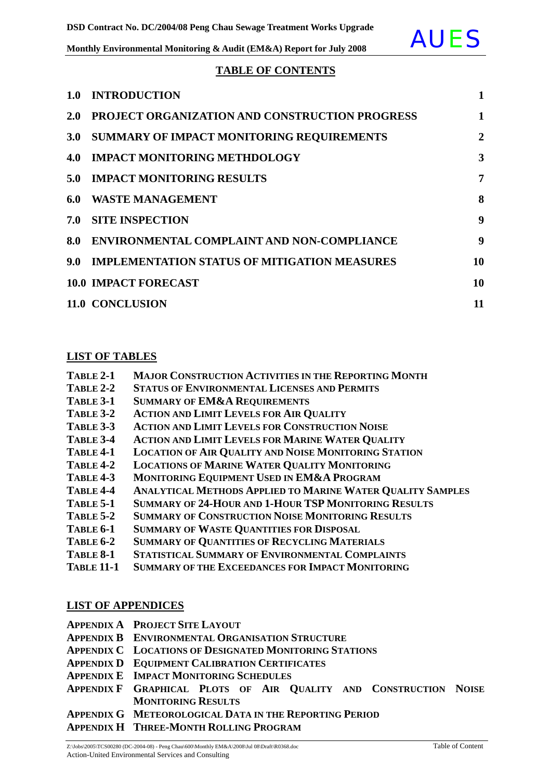

#### **TABLE OF CONTENTS**

| 1.0              | <b>INTRODUCTION</b>                                   | $\mathbf{1}$ |
|------------------|-------------------------------------------------------|--------------|
| <b>2.0</b>       | <b>PROJECT ORGANIZATION AND CONSTRUCTION PROGRESS</b> | 1            |
| 3.0 <sub>2</sub> | SUMMARY OF IMPACT MONITORING REQUIREMENTS             | 2            |
| 4.0              | <b>IMPACT MONITORING METHDOLOGY</b>                   | 3            |
| 5.0              | <b>IMPACT MONITORING RESULTS</b>                      | 7            |
| 6.0              | <b>WASTE MANAGEMENT</b>                               | 8            |
| 7.0              | <b>SITE INSPECTION</b>                                | 9            |
| 8.0              | <b>ENVIRONMENTAL COMPLAINT AND NON-COMPLIANCE</b>     | 9            |
| 9.0 <sub>1</sub> | <b>IMPLEMENTATION STATUS OF MITIGATION MEASURES</b>   | 10           |
|                  | <b>10.0 IMPACT FORECAST</b>                           | 10           |
|                  | 11.0 CONCLUSION                                       | 11           |

#### **LIST OF TABLES**

| TABLE 2-1 | <b>MAJOR CONSTRUCTION ACTIVITIES IN THE REPORTING MONTH</b> |  |
|-----------|-------------------------------------------------------------|--|
|           |                                                             |  |

- **TABLE 2-2 STATUS OF ENVIRONMENTAL LICENSES AND PERMITS**
- **TABLE 3-1 SUMMARY OF EM&A REQUIREMENTS**
- **TABLE 3-2 ACTION AND LIMIT LEVELS FOR AIR QUALITY**
- **TABLE 3-3 ACTION AND LIMIT LEVELS FOR CONSTRUCTION NOISE**
- **TABLE 3-4 ACTION AND LIMIT LEVELS FOR MARINE WATER QUALITY**
- **TABLE 4-1 LOCATION OF AIR QUALITY AND NOISE MONITORING STATION**
- **TABLE 4-2 LOCATIONS OF MARINE WATER QUALITY MONITORING**
- **TABLE 4-3 MONITORING EQUIPMENT USED IN EM&A PROGRAM**
- **TABLE 4-4 ANALYTICAL METHODS APPLIED TO MARINE WATER QUALITY SAMPLES**
- **TABLE 5-1 SUMMARY OF 24-HOUR AND 1-HOUR TSP MONITORING RESULTS**
- **TABLE 5-2 SUMMARY OF CONSTRUCTION NOISE MONITORING RESULTS**
- **TABLE 6-1 SUMMARY OF WASTE QUANTITIES FOR DISPOSAL**
- **TABLE 6-2 SUMMARY OF QUANTITIES OF RECYCLING MATERIALS**
- **TABLE 8-1 STATISTICAL SUMMARY OF ENVIRONMENTAL COMPLAINTS**
- **TABLE 11-1 SUMMARY OF THE EXCEEDANCES FOR IMPACT MONITORING**

#### **LIST OF APPENDICES**

- **APPENDIX A PROJECT SITE LAYOUT**
- **APPENDIX B ENVIRONMENTAL ORGANISATION STRUCTURE**
- **APPENDIX C LOCATIONS OF DESIGNATED MONITORING STATIONS**
- **APPENDIX D EQUIPMENT CALIBRATION CERTIFICATES**
- **APPENDIX E IMPACT MONITORING SCHEDULES**
- **APPENDIX F GRAPHICAL PLOTS OF AIR QUALITY AND CONSTRUCTION NOISE MONITORING RESULTS**

**APPENDIX G METEOROLOGICAL DATA IN THE REPORTING PERIOD**

**APPENDIX H THREE-MONTH ROLLING PROGRAM**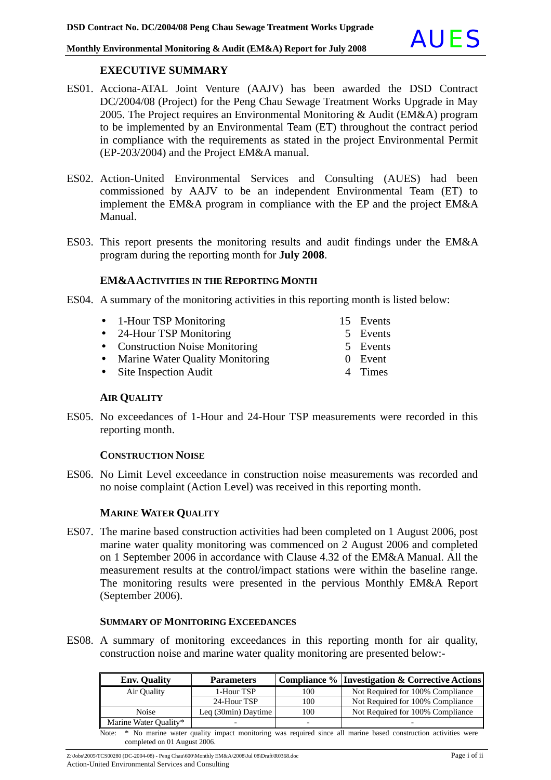

#### **EXECUTIVE SUMMARY**

- ES01. Acciona-ATAL Joint Venture (AAJV) has been awarded the DSD Contract DC/2004/08 (Project) for the Peng Chau Sewage Treatment Works Upgrade in May 2005. The Project requires an Environmental Monitoring & Audit (EM&A) program to be implemented by an Environmental Team (ET) throughout the contract period in compliance with the requirements as stated in the project Environmental Permit (EP-203/2004) and the Project EM&A manual.
- ES02. Action-United Environmental Services and Consulting (AUES) had been commissioned by AAJV to be an independent Environmental Team (ET) to implement the EM&A program in compliance with the EP and the project EM&A Manual.
- ES03. This report presents the monitoring results and audit findings under the EM&A program during the reporting month for **July 2008**.

#### **EM&AACTIVITIES IN THE REPORTING MONTH**

- ES04. A summary of the monitoring activities in this reporting month is listed below:
	- 1-Hour TSP Monitoring 15 Events
	- 24-Hour TSP Monitoring 5 Events
	- Construction Noise Monitoring 5 Events
	- Marine Water Quality Monitoring 0 Event
	- Site Inspection Audit 4 Times

**AIR QUALITY**

ES05. No exceedances of 1-Hour and 24-Hour TSP measurements were recorded in this reporting month.

#### **CONSTRUCTION NOISE**

ES06. No Limit Level exceedance in construction noise measurements was recorded and no noise complaint (Action Level) was received in this reporting month.

#### **MARINE WATER QUALITY**

ES07. The marine based construction activities had been completed on 1 August 2006, post marine water quality monitoring was commenced on 2 August 2006 and completed on 1 September 2006 in accordance with Clause 4.32 of the EM&A Manual. All the measurement results at the control/impact stations were within the baseline range. The monitoring results were presented in the pervious Monthly EM&A Report (September 2006).

#### **SUMMARY OF MONITORING EXCEEDANCES**

ES08. A summary of monitoring exceedances in this reporting month for air quality, construction noise and marine water quality monitoring are presented below:-

| <b>Env.</b> Quality                                                                                                | <b>Parameters</b>            |     | Compliance % Investigation & Corrective Actions |  |  |
|--------------------------------------------------------------------------------------------------------------------|------------------------------|-----|-------------------------------------------------|--|--|
| Air Ouality                                                                                                        | 1-Hour TSP                   | 100 | Not Required for 100% Compliance                |  |  |
|                                                                                                                    | 24-Hour TSP                  | 100 | Not Required for 100% Compliance                |  |  |
| Noise                                                                                                              | Leq $(30\text{min})$ Daytime | 100 | Not Required for 100% Compliance                |  |  |
| Marine Water Quality*                                                                                              |                              |     |                                                 |  |  |
| Note: * No marine water quality impact monitoring was required since all marine based construction activities were |                              |     |                                                 |  |  |
| completed on 01 August 2006.                                                                                       |                              |     |                                                 |  |  |

Z:\Jobs\2005\TCS00280 (DC-2004-08) - Peng Chau\600\Monthly EM&A\2008\Jul 08\Draft\R0368.doc Page i of ii

Action-United Environmental Services and Consulting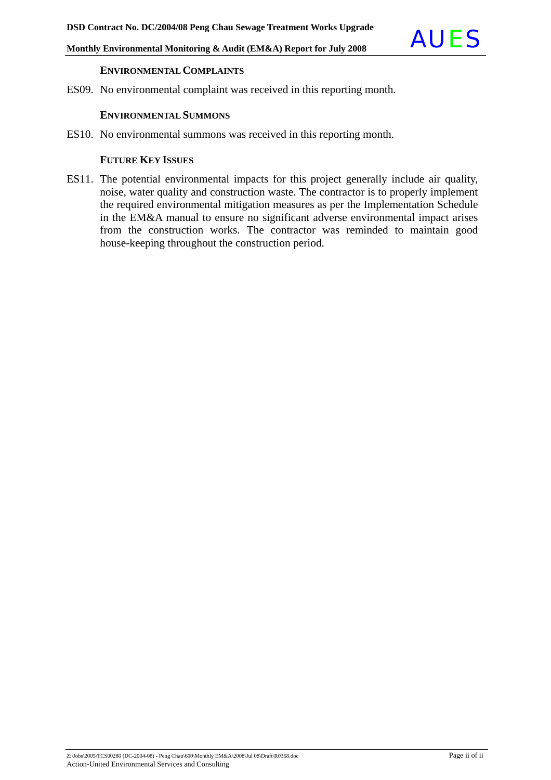#### **ENVIRONMENTAL COMPLAINTS**

ES09. No environmental complaint was received in this reporting month.

#### **ENVIRONMENTAL SUMMONS**

ES10. No environmental summons was received in this reporting month.

#### **FUTURE KEY ISSUES**

ES11. The potential environmental impacts for this project generally include air quality, noise, water quality and construction waste. The contractor is to properly implement the required environmental mitigation measures as per the Implementation Schedule in the EM&A manual to ensure no significant adverse environmental impact arises from the construction works. The contractor was reminded to maintain good house-keeping throughout the construction period.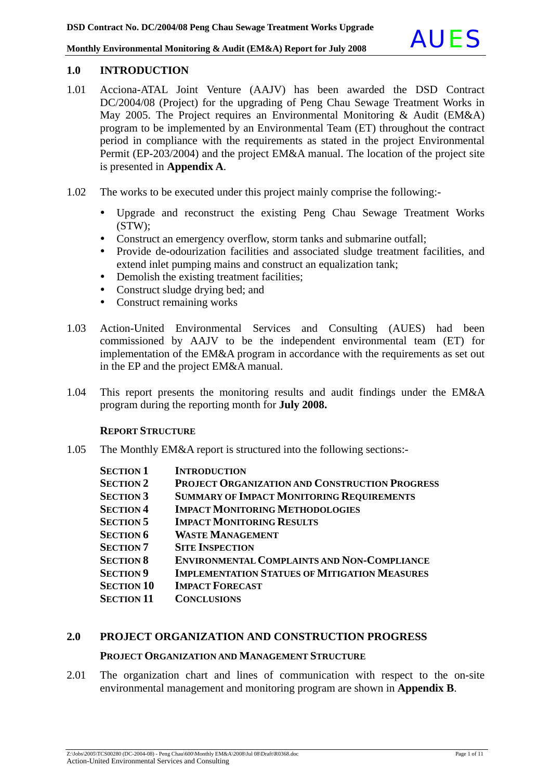#### **1.0 INTRODUCTION**

- 1.01 Acciona-ATAL Joint Venture (AAJV) has been awarded the DSD Contract DC/2004/08 (Project) for the upgrading of Peng Chau Sewage Treatment Works in May 2005. The Project requires an Environmental Monitoring & Audit (EM&A) program to be implemented by an Environmental Team (ET) throughout the contract period in compliance with the requirements as stated in the project Environmental Permit (EP-203/2004) and the project EM&A manual. The location of the project site is presented in **Appendix A**.
- 1.02 The works to be executed under this project mainly comprise the following:-
	- Upgrade and reconstruct the existing Peng Chau Sewage Treatment Works (STW);
	- Construct an emergency overflow, storm tanks and submarine outfall;
	- Provide de-odourization facilities and associated sludge treatment facilities, and extend inlet pumping mains and construct an equalization tank;
	- Demolish the existing treatment facilities;
	- Construct sludge drying bed; and
	- Construct remaining works
- 1.03 Action-United Environmental Services and Consulting (AUES) had been commissioned by AAJV to be the independent environmental team (ET) for implementation of the EM&A program in accordance with the requirements as set out in the EP and the project EM&A manual.
- 1.04 This report presents the monitoring results and audit findings under the EM&A program during the reporting month for **July 2008.**

#### **REPORT STRUCTURE**

1.05 The Monthly EM&A report is structured into the following sections:-

| <b>SECTION 1</b>  | <b>INTRODUCTION</b>                                   |
|-------------------|-------------------------------------------------------|
| <b>SECTION 2</b>  | <b>PROJECT ORGANIZATION AND CONSTRUCTION PROGRESS</b> |
| <b>SECTION 3</b>  | <b>SUMMARY OF IMPACT MONITORING REQUIREMENTS</b>      |
| <b>SECTION 4</b>  | <b>IMPACT MONITORING METHODOLOGIES</b>                |
| <b>SECTION 5</b>  | <b>IMPACT MONITORING RESULTS</b>                      |
| <b>SECTION 6</b>  | <b>WASTE MANAGEMENT</b>                               |
| <b>SECTION 7</b>  | <b>SITE INSPECTION</b>                                |
| <b>SECTION 8</b>  | <b>ENVIRONMENTAL COMPLAINTS AND NON-COMPLIANCE</b>    |
| <b>SECTION 9</b>  | <b>IMPLEMENTATION STATUES OF MITIGATION MEASURES</b>  |
| <b>SECTION 10</b> | <b>IMPACT FORECAST</b>                                |
| <b>SECTION 11</b> | <b>CONCLUSIONS</b>                                    |

#### **2.0 PROJECT ORGANIZATION AND CONSTRUCTION PROGRESS**

#### **PROJECT ORGANIZATION AND MANAGEMENT STRUCTURE**

2.01 The organization chart and lines of communication with respect to the on-site environmental management and monitoring program are shown in **Appendix B**.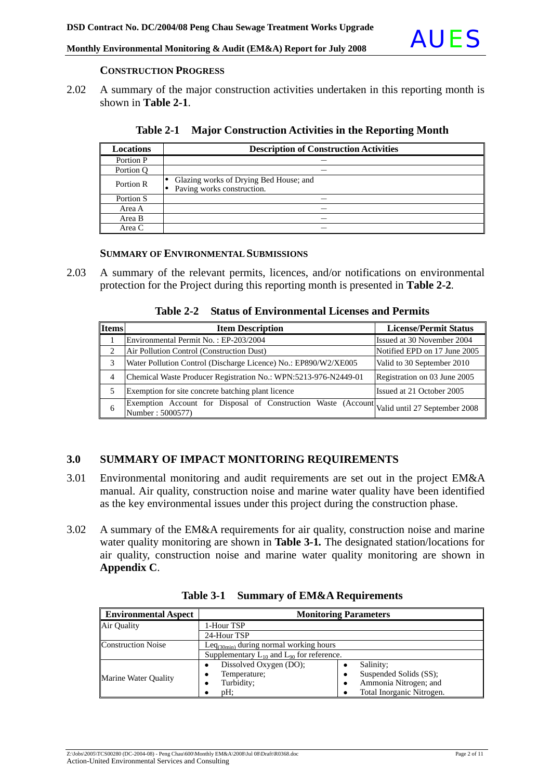

#### **CONSTRUCTION PROGRESS**

2.02 A summary of the major construction activities undertaken in this reporting month is shown in **Table 2-1**.

| <b>Locations</b> | <b>Description of Construction Activities</b>                        |
|------------------|----------------------------------------------------------------------|
| Portion P        |                                                                      |
| Portion O        |                                                                      |
| Portion R        | Glazing works of Drying Bed House; and<br>Paving works construction. |
| Portion S        | _                                                                    |
| Area A           | _                                                                    |
| Area B           | _                                                                    |
| Area C           | _                                                                    |

|  |  |  | Table 2-1 Major Construction Activities in the Reporting Month |
|--|--|--|----------------------------------------------------------------|
|--|--|--|----------------------------------------------------------------|

#### **SUMMARY OF ENVIRONMENTAL SUBMISSIONS**

2.03 A summary of the relevant permits, licences, and/or notifications on environmental protection for the Project during this reporting month is presented in **Table 2-2***.*

**Table 2-2 Status of Environmental Licenses and Permits** 

| <b>Items</b>                | <b>Item Description</b>                                                                                         | <b>License/Permit Status</b> |
|-----------------------------|-----------------------------------------------------------------------------------------------------------------|------------------------------|
|                             | Environmental Permit No.: EP-203/2004                                                                           | Issued at 30 November 2004   |
| $\mathcal{D}_{\mathcal{L}}$ | Air Pollution Control (Construction Dust)                                                                       | Notified EPD on 17 June 2005 |
| 3                           | Water Pollution Control (Discharge Licence) No.: EP890/W2/XE005                                                 | Valid to 30 September 2010   |
| 4                           | Chemical Waste Producer Registration No.: WPN:5213-976-N2449-01                                                 | Registration on 03 June 2005 |
| 5                           | Exemption for site concrete batching plant licence                                                              | Issued at 21 October 2005    |
| 6                           | Exemption Account for Disposal of Construction Waste (Account Valid until 27 September 2008<br>Number: 5000577) |                              |

### **3.0 SUMMARY OF IMPACT MONITORING REQUIREMENTS**

- 3.01 Environmental monitoring and audit requirements are set out in the project EM&A manual. Air quality, construction noise and marine water quality have been identified as the key environmental issues under this project during the construction phase.
- 3.02 A summary of the EM&A requirements for air quality, construction noise and marine water quality monitoring are shown in **Table 3-1***.* The designated station/locations for air quality, construction noise and marine water quality monitoring are shown in **Appendix C**.

| <b>Environmental Aspect</b> | <b>Monitoring Parameters</b>                       |                           |  |
|-----------------------------|----------------------------------------------------|---------------------------|--|
| Air Quality                 | 1-Hour TSP                                         |                           |  |
|                             | 24-Hour TSP                                        |                           |  |
| <b>Construction Noise</b>   | Leq $_{(30min)}$ during normal working hours       |                           |  |
|                             | Supplementary $L_{10}$ and $L_{90}$ for reference. |                           |  |
|                             | Dissolved Oxygen (DO);                             | Salinity;                 |  |
| Marine Water Ouality        | Temperature;                                       | Suspended Solids (SS);    |  |
|                             | Turbidity;                                         | Ammonia Nitrogen; and     |  |
|                             | pH;                                                | Total Inorganic Nitrogen. |  |

**Table 3-1 Summary of EM&A Requirements**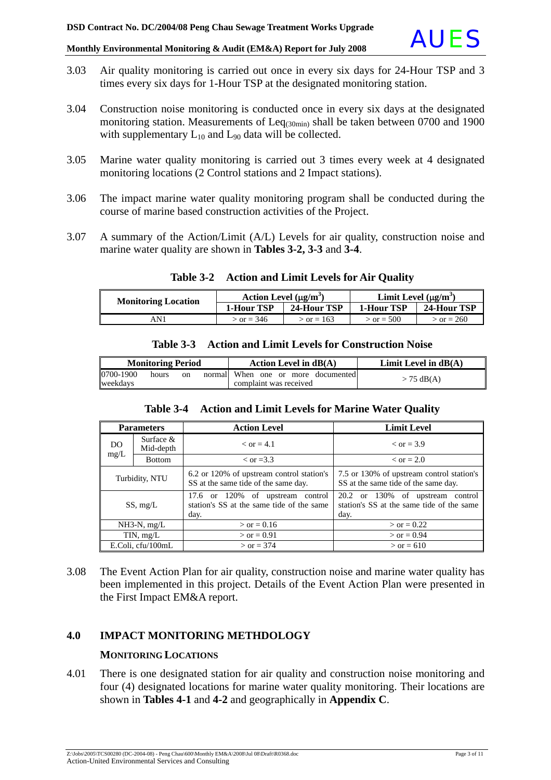- 3.03 Air quality monitoring is carried out once in every six days for 24-Hour TSP and 3 times every six days for 1-Hour TSP at the designated monitoring station.
- 3.04 Construction noise monitoring is conducted once in every six days at the designated monitoring station. Measurements of  $\text{Leq}_{(30\text{min})}$  shall be taken between 0700 and 1900 with supplementary  $L_{10}$  and  $L_{90}$  data will be collected.
- 3.05 Marine water quality monitoring is carried out 3 times every week at 4 designated monitoring locations (2 Control stations and 2 Impact stations).
- 3.06 The impact marine water quality monitoring program shall be conducted during the course of marine based construction activities of the Project.
- 3.07 A summary of the Action/Limit (A/L) Levels for air quality, construction noise and marine water quality are shown in **Tables 3-2, 3-3** and **3-4**.

| <b>Monitoring Location</b> | Action Level $(\mu g/m^3)$ |                | Limit Level $(\mu g/m^3)$ |              |
|----------------------------|----------------------------|----------------|---------------------------|--------------|
|                            | <b>1-Hour TSP</b>          | 24-Hour TSP    | <b>1-Hour TSP</b>         | 24-Hour TSP  |
| AN 1                       | $\sigma = 346$             | $\sigma = 163$ | $>$ or = 500              | $>$ or = 260 |

#### **Table 3-2 Action and Limit Levels for Air Quality**

| <b>Monitoring Period</b>             | Action Level in $dB(A)$                                      | Limit Level in $dB(A)$ |
|--------------------------------------|--------------------------------------------------------------|------------------------|
| 0700-1900<br>hours<br>on<br>weekdays | normal When one or more documented<br>complaint was received | $>$ 75 dB(A)           |

## **Table 3-3 Action and Limit Levels for Construction Noise**

#### **Table 3-4 Action and Limit Levels for Marine Water Quality**

| <b>Parameters</b>               |               | <b>Action Level</b>                                                                                                                                                    | <b>Limit Level</b>                                                                    |  |
|---------------------------------|---------------|------------------------------------------------------------------------------------------------------------------------------------------------------------------------|---------------------------------------------------------------------------------------|--|
| Surface $&$<br>DO.<br>Mid-depth |               | $\epsilon$ or $=$ 4.1                                                                                                                                                  | $\epsilon$ or = 3.9                                                                   |  |
| mg/L                            | <b>Bottom</b> | $\rm <$ or =3.3                                                                                                                                                        | $\epsilon$ or = 2.0                                                                   |  |
| Turbidity, NTU                  |               | 7.5 or 130% of upstream control station's<br>6.2 or 120% of upstream control station's<br>SS at the same tide of the same day.<br>SS at the same tide of the same day. |                                                                                       |  |
| SS, mg/L                        |               | 17.6 or 120% of upstream control<br>station's SS at the same tide of the same<br>day.                                                                                  | 20.2 or 130% of upstream control<br>station's SS at the same tide of the same<br>day. |  |
| $NH3-N$ , mg/L                  |               | $>$ or = 0.16                                                                                                                                                          | $>$ or = 0.22                                                                         |  |
| TIN, $mg/L$                     |               | $>$ or = 0.91                                                                                                                                                          | $>$ or = 0.94                                                                         |  |
| E.Coli, cfu/100mL               |               | $>$ or = 374                                                                                                                                                           | $>$ or = 610                                                                          |  |

3.08 The Event Action Plan for air quality, construction noise and marine water quality has been implemented in this project. Details of the Event Action Plan were presented in the First Impact EM&A report.

#### **4.0 IMPACT MONITORING METHDOLOGY**

#### **MONITORING LOCATIONS**

4.01 There is one designated station for air quality and construction noise monitoring and four (4) designated locations for marine water quality monitoring. Their locations are shown in **Tables 4-1** and **4-2** and geographically in **Appendix C**.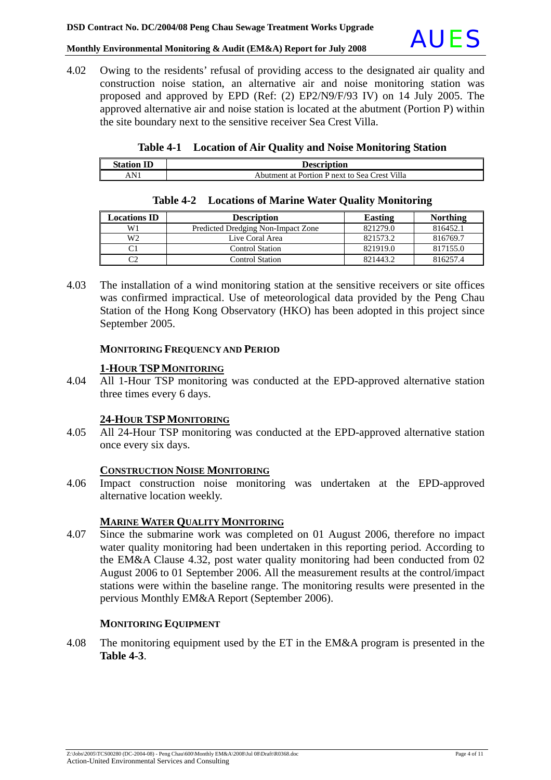

4.02 Owing to the residents' refusal of providing access to the designated air quality and construction noise station, an alternative air and noise monitoring station was proposed and approved by EPD (Ref: (2) EP2/N9/F/93 IV) on 14 July 2005. The approved alternative air and noise station is located at the abutment (Portion P) within the site boundary next to the sensitive receiver Sea Crest Villa.

|  |  |  | Table 4-1 Location of Air Quality and Noise Monitoring Station |
|--|--|--|----------------------------------------------------------------|
|--|--|--|----------------------------------------------------------------|

| <b>Station ID</b> | <b>Description</b>                            |
|-------------------|-----------------------------------------------|
| AN                | Abutment at Portion P next to Sea Crest Villa |

| <b>Locations ID</b> | <b>Description</b>                 | <b>Easting</b> | <b>Northing</b> |
|---------------------|------------------------------------|----------------|-----------------|
| W1                  | Predicted Dredging Non-Impact Zone | 821279.0       | 816452.1        |
| W <sub>2</sub>      | Live Coral Area                    | 821573.2       | 816769.7        |
|                     | <b>Control Station</b>             | 821919.0       | 817155.0        |
|                     | <b>Control Station</b>             | 821443.2       | 816257.4        |

#### **Table 4-2 Locations of Marine Water Quality Monitoring**

4.03 The installation of a wind monitoring station at the sensitive receivers or site offices was confirmed impractical. Use of meteorological data provided by the Peng Chau Station of the Hong Kong Observatory (HKO) has been adopted in this project since September 2005.

#### **MONITORING FREQUENCY AND PERIOD**

#### **1-HOUR TSPMONITORING**

4.04 All 1-Hour TSP monitoring was conducted at the EPD-approved alternative station three times every 6 days.

#### **24-HOUR TSPMONITORING**

4.05 All 24-Hour TSP monitoring was conducted at the EPD-approved alternative station once every six days.

#### **CONSTRUCTION NOISE MONITORING**

4.06 Impact construction noise monitoring was undertaken at the EPD-approved alternative location weekly.

#### **MARINE WATER QUALITY MONITORING**

4.07 Since the submarine work was completed on 01 August 2006, therefore no impact water quality monitoring had been undertaken in this reporting period. According to the EM&A Clause 4.32, post water quality monitoring had been conducted from 02 August 2006 to 01 September 2006. All the measurement results at the control/impact stations were within the baseline range. The monitoring results were presented in the pervious Monthly EM&A Report (September 2006).

#### **MONITORING EQUIPMENT**

4.08 The monitoring equipment used by the ET in the EM&A program is presented in the **Table 4-3**.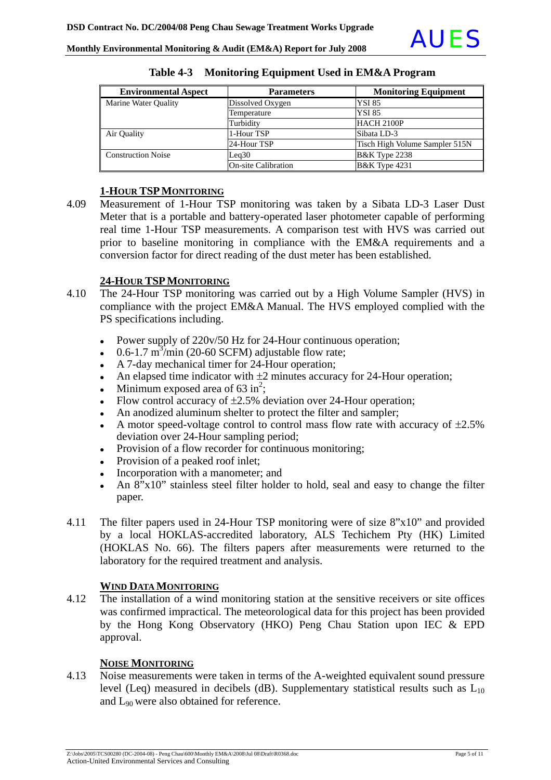| <b>Environmental Aspect</b> | <b>Parameters</b>          | <b>Monitoring Equipment</b>    |
|-----------------------------|----------------------------|--------------------------------|
| Marine Water Quality        | Dissolved Oxygen           | <b>YSI 85</b>                  |
|                             | Temperature                | <b>YSI 85</b>                  |
|                             | Turbidity                  | HACH 2100P                     |
| Air Quality                 | 1-Hour TSP                 | Sibata LD-3                    |
|                             | 24-Hour TSP                | Tisch High Volume Sampler 515N |
| <b>Construction Noise</b>   | Leq30                      | <b>B&amp;K</b> Type 2238       |
|                             | <b>On-site Calibration</b> | <b>B&amp;K</b> Type 4231       |

#### **Table 4-3 Monitoring Equipment Used in EM&A Program**

#### **1-HOUR TSPMONITORING**

4.09 Measurement of 1-Hour TSP monitoring was taken by a Sibata LD-3 Laser Dust Meter that is a portable and battery-operated laser photometer capable of performing real time 1-Hour TSP measurements. A comparison test with HVS was carried out prior to baseline monitoring in compliance with the EM&A requirements and a conversion factor for direct reading of the dust meter has been established.

#### **24-HOUR TSPMONITORING**

- 4.10 The 24-Hour TSP monitoring was carried out by a High Volume Sampler (HVS) in compliance with the project EM&A Manual. The HVS employed complied with the PS specifications including.
	- Power supply of  $220v/50$  Hz for 24-Hour continuous operation;
	- $\cdot$  0.6-1.7 m<sup>3</sup>/min (20-60 SCFM) adjustable flow rate;
	- A 7-day mechanical timer for 24-Hour operation;
	- An elapsed time indicator with  $\pm 2$  minutes accuracy for 24-Hour operation;
	- Minimum exposed area of  $63 \text{ in}^2$ ;
	- Flow control accuracy of  $\pm 2.5$ % deviation over 24-Hour operation;
	- An anodized aluminum shelter to protect the filter and sampler;
	- A motor speed-voltage control to control mass flow rate with accuracy of  $\pm 2.5\%$ deviation over 24-Hour sampling period;
	- Provision of a flow recorder for continuous monitoring;
	- Provision of a peaked roof inlet;
	- Incorporation with a manometer; and
	- An  $8"x10"$  stainless steel filter holder to hold, seal and easy to change the filter paper.
- 4.11 The filter papers used in 24-Hour TSP monitoring were of size 8"x10" and provided by a local HOKLAS-accredited laboratory, ALS Techichem Pty (HK) Limited (HOKLAS No. 66). The filters papers after measurements were returned to the laboratory for the required treatment and analysis.

#### **WIND DATA MONITORING**

4.12 The installation of a wind monitoring station at the sensitive receivers or site offices was confirmed impractical. The meteorological data for this project has been provided by the Hong Kong Observatory (HKO) Peng Chau Station upon IEC & EPD approval.

#### **NOISE MONITORING**

4.13 Noise measurements were taken in terms of the A-weighted equivalent sound pressure level (Leq) measured in decibels (dB). Supplementary statistical results such as  $L_{10}$ and L90 were also obtained for reference.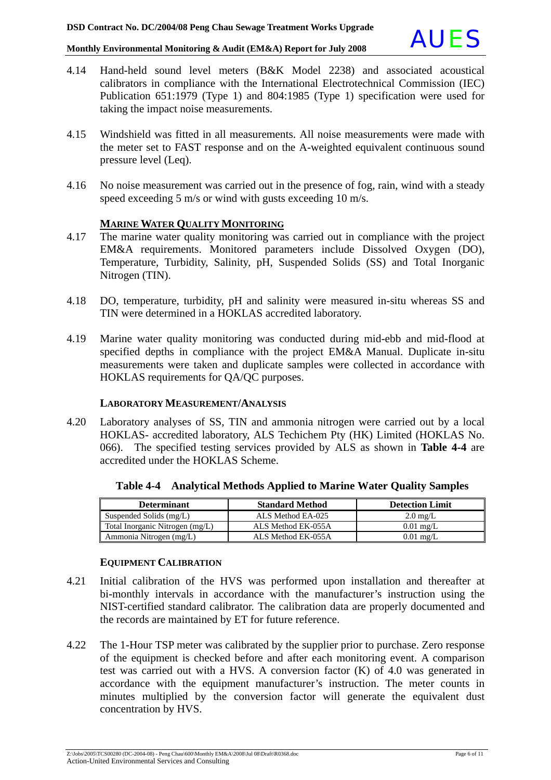

- 4.14 Hand-held sound level meters (B&K Model 2238) and associated acoustical calibrators in compliance with the International Electrotechnical Commission (IEC) Publication 651:1979 (Type 1) and 804:1985 (Type 1) specification were used for taking the impact noise measurements.
- 4.15 Windshield was fitted in all measurements. All noise measurements were made with the meter set to FAST response and on the A-weighted equivalent continuous sound pressure level (Leq).
- 4.16 No noise measurement was carried out in the presence of fog, rain, wind with a steady speed exceeding 5 m/s or wind with gusts exceeding 10 m/s.

#### **MARINE WATER QUALITY MONITORING**

- 4.17 The marine water quality monitoring was carried out in compliance with the project EM&A requirements. Monitored parameters include Dissolved Oxygen (DO), Temperature, Turbidity, Salinity, pH, Suspended Solids (SS) and Total Inorganic Nitrogen (TIN).
- 4.18 DO, temperature, turbidity, pH and salinity were measured in-situ whereas SS and TIN were determined in a HOKLAS accredited laboratory.
- 4.19 Marine water quality monitoring was conducted during mid-ebb and mid-flood at specified depths in compliance with the project EM&A Manual. Duplicate in-situ measurements were taken and duplicate samples were collected in accordance with HOKLAS requirements for QA/QC purposes.

#### **LABORATORY MEASUREMENT/ANALYSIS**

4.20 Laboratory analyses of SS, TIN and ammonia nitrogen were carried out by a local HOKLAS- accredited laboratory, ALS Techichem Pty (HK) Limited (HOKLAS No. 066). The specified testing services provided by ALS as shown in **Table 4-4** are accredited under the HOKLAS Scheme.

| <b>Determinant</b>              | <b>Standard Method</b> | <b>Detection Limit</b> |
|---------------------------------|------------------------|------------------------|
| Suspended Solids (mg/L)         | ALS Method EA-025      | $2.0 \text{ mg/L}$     |
| Total Inorganic Nitrogen (mg/L) | ALS Method EK-055A     | $0.01$ mg/L            |
| Ammonia Nitrogen (mg/L)         | ALS Method EK-055A     | $0.01$ mg/L            |

**Table 4-4 Analytical Methods Applied to Marine Water Quality Samples**

#### **EQUIPMENT CALIBRATION**

- 4.21 Initial calibration of the HVS was performed upon installation and thereafter at bi-monthly intervals in accordance with the manufacturer's instruction using the NIST-certified standard calibrator. The calibration data are properly documented and the records are maintained by ET for future reference.
- 4.22 The 1-Hour TSP meter was calibrated by the supplier prior to purchase. Zero response of the equipment is checked before and after each monitoring event. A comparison test was carried out with a HVS. A conversion factor (K) of 4.0 was generated in accordance with the equipment manufacturer's instruction. The meter counts in minutes multiplied by the conversion factor will generate the equivalent dust concentration by HVS.

Z:\Jobs\2005\TCS00280 (DC-2004-08) - Peng Chau\600\Monthly EM&A\2008\Jul 08\Draft\R0368.doc Page 6 of 11 Action-United Environmental Services and Consulting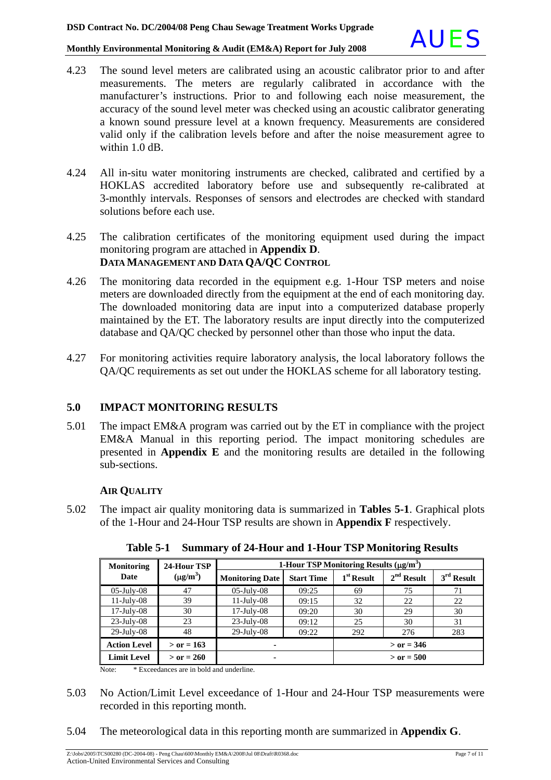- 4.23 The sound level meters are calibrated using an acoustic calibrator prior to and after measurements. The meters are regularly calibrated in accordance with the manufacturer's instructions. Prior to and following each noise measurement, the accuracy of the sound level meter was checked using an acoustic calibrator generating a known sound pressure level at a known frequency. Measurements are considered valid only if the calibration levels before and after the noise measurement agree to within 1.0 dB.
- 4.24 All in-situ water monitoring instruments are checked, calibrated and certified by a HOKLAS accredited laboratory before use and subsequently re-calibrated at 3-monthly intervals. Responses of sensors and electrodes are checked with standard solutions before each use.
- 4.25 The calibration certificates of the monitoring equipment used during the impact monitoring program are attached in **Appendix D**. **DATA MANAGEMENT AND DATA QA/QC CONTROL**
- 4.26 The monitoring data recorded in the equipment e.g. 1-Hour TSP meters and noise meters are downloaded directly from the equipment at the end of each monitoring day. The downloaded monitoring data are input into a computerized database properly maintained by the ET. The laboratory results are input directly into the computerized database and QA/QC checked by personnel other than those who input the data.
- 4.27 For monitoring activities require laboratory analysis, the local laboratory follows the QA/QC requirements as set out under the HOKLAS scheme for all laboratory testing.

#### **5.0 IMPACT MONITORING RESULTS**

5.01 The impact EM&A program was carried out by the ET in compliance with the project EM&A Manual in this reporting period. The impact monitoring schedules are presented in **Appendix E** and the monitoring results are detailed in the following sub-sections.

#### **AIR QUALITY**

5.02 The impact air quality monitoring data is summarized in **Tables 5-1**. Graphical plots of the 1-Hour and 24-Hour TSP results are shown in **Appendix F** respectively.

| <b>Monitoring</b>   | 24-Hour TSP   | 1-Hour TSP Monitoring Results $(\mu\alpha/m^3)$ |                   |              |              |              |
|---------------------|---------------|-------------------------------------------------|-------------------|--------------|--------------|--------------|
| Date                | $(\mu g/m^3)$ | <b>Monitoring Date</b>                          | <b>Start Time</b> | $1st$ Result | $2nd$ Result | $3rd$ Result |
| $05$ -July- $08$    | 47            | $05$ -July- $08$                                | 09:25             | 69           | 75           | 71           |
| $11$ -July-08       | 39            | $11$ -July-08                                   | 09:15             | 32           | 22           | 22           |
| $17$ -July-08       | 30            | $17$ -July-08                                   | 09:20             | 30           | 29           | 30           |
| $23$ -July-08       | 23            | $23$ -July-08                                   | 09:12             | 25           | 30           | 31           |
| $29$ -July-08       | 48            | $29$ -July-08                                   | 09:22             | 292          | 276          | 283          |
| <b>Action Level</b> | $>$ or = 163  |                                                 |                   | $>$ or = 346 |              |              |
| <b>Limit Level</b>  | $>$ or = 260  |                                                 |                   |              | $>$ or = 500 |              |

**Table 5-1 Summary of 24-Hour and 1-Hour TSP Monitoring Results** 

Note: \* Exceedances are in bold and underline.

- 5.03 No Action/Limit Level exceedance of 1-Hour and 24-Hour TSP measurements were recorded in this reporting month.
- 5.04 The meteorological data in this reporting month are summarized in **Appendix G**.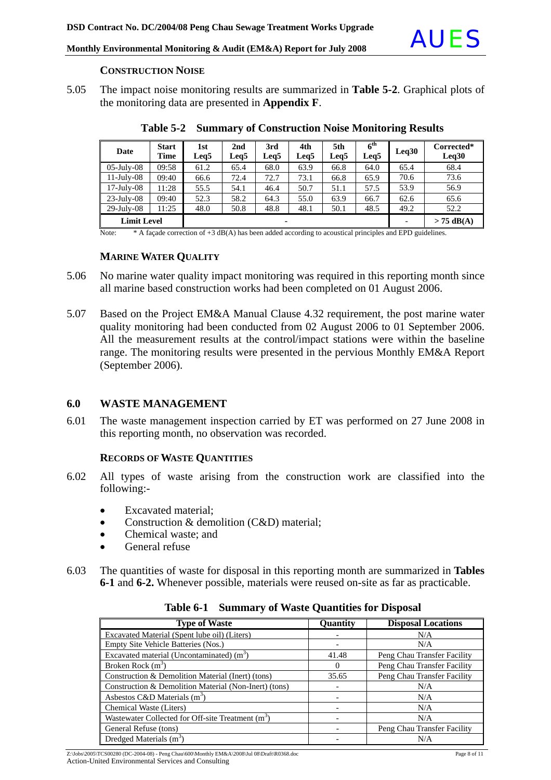

#### **CONSTRUCTION NOISE**

5.05 The impact noise monitoring results are summarized in **Table 5-2**. Graphical plots of the monitoring data are presented in **Appendix F**.

| Date               | <b>Start</b><br>Time | 1st<br>Leg5 | 2nd<br>Leq5 | 3rd<br>Leg5 | 4th<br>Leq5 | 5th<br>Leg <sub>5</sub> | $6^{\rm th}$<br>Leq5 | Leq30 | Corrected*<br>Leq30 |
|--------------------|----------------------|-------------|-------------|-------------|-------------|-------------------------|----------------------|-------|---------------------|
| $05$ -July- $08$   | 09:58                | 61.2        | 65.4        | 68.0        | 63.9        | 66.8                    | 64.0                 | 65.4  | 68.4                |
| $11$ -July-08      | 09:40                | 66.6        | 72.4        | 72.7        | 73.1        | 66.8                    | 65.9                 | 70.6  | 73.6                |
| $17$ -July-08      | 11:28                | 55.5        | 54.1        | 46.4        | 50.7        | 51.1                    | 57.5                 | 53.9  | 56.9                |
| $23$ -July-08      | 09:40                | 52.3        | 58.2        | 64.3        | 55.0        | 63.9                    | 66.7                 | 62.6  | 65.6                |
| $29$ -July-08      | 11:25                | 48.0        | 50.8        | 48.8        | 48.1        | 50.1                    | 48.5                 | 49.2  | 52.2                |
| <b>Limit Level</b> |                      |             |             | ۰           |             |                         |                      |       | $> 75$ dB(A)        |

**Table 5-2 Summary of Construction Noise Monitoring Results** 

Note: \* A façade correction of +3 dB(A) has been added according to acoustical principles and EPD guidelines.

#### **MARINE WATER QUALITY**

- 5.06 No marine water quality impact monitoring was required in this reporting month since all marine based construction works had been completed on 01 August 2006.
- 5.07 Based on the Project EM&A Manual Clause 4.32 requirement, the post marine water quality monitoring had been conducted from 02 August 2006 to 01 September 2006. All the measurement results at the control/impact stations were within the baseline range. The monitoring results were presented in the pervious Monthly EM&A Report (September 2006).

#### **6.0 WASTE MANAGEMENT**

6.01 The waste management inspection carried by ET was performed on 27 June 2008 in this reporting month, no observation was recorded.

#### **RECORDS OF WASTE QUANTITIES**

- 6.02 All types of waste arising from the construction work are classified into the following:-
	- Excavated material;
	- Construction & demolition (C&D) material;
	- Chemical waste: and
	- General refuse
- 6.03 The quantities of waste for disposal in this reporting month are summarized in **Tables 6-1** and **6-2.** Whenever possible, materials were reused on-site as far as practicable.

| <b>Type of Waste</b>                                          | Quantity | <b>Disposal Locations</b>   |
|---------------------------------------------------------------|----------|-----------------------------|
| Excavated Material (Spent lube oil) (Liters)                  |          | N/A                         |
| Empty Site Vehicle Batteries (Nos.)                           |          | N/A                         |
| Excavated material (Uncontaminated) $(m3)$                    | 41.48    | Peng Chau Transfer Facility |
| Broken Rock $(m3)$                                            | $\Omega$ | Peng Chau Transfer Facility |
| Construction & Demolition Material (Inert) (tons)             | 35.65    | Peng Chau Transfer Facility |
| Construction & Demolition Material (Non-Inert) (tons)         |          | N/A                         |
| Asbestos C&D Materials $(m3)$                                 |          | N/A                         |
| Chemical Waste (Liters)                                       |          | N/A                         |
| Wastewater Collected for Off-site Treatment (m <sup>3</sup> ) |          | N/A                         |
| General Refuse (tons)                                         |          | Peng Chau Transfer Facility |
| Dredged Materials $(m3)$                                      |          | N/A                         |

**Table 6-1 Summary of Waste Quantities for Disposal**

Z:\Jobs\2005\TCS00280 (DC-2004-08) - Peng Chau\600\Monthly EM&A\2008\Jul 08\Draft\R0368.doc Page 8 of 11 Action-United Environmental Services and Consulting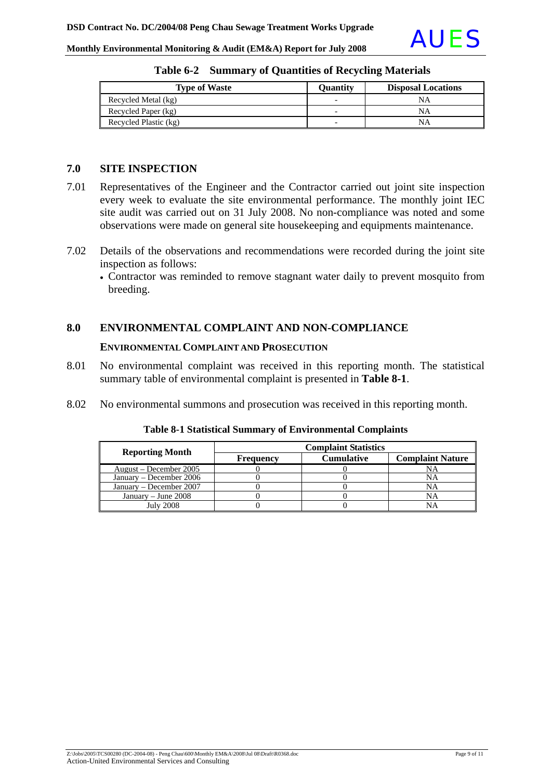|                                                                      | <b>AUES</b> |
|----------------------------------------------------------------------|-------------|
| Monthly Environmental Monitoring & Audit (EM&A) Report for July 2008 |             |

| <b>Type of Waste</b>  | Ouantity | <b>Disposal Locations</b> |
|-----------------------|----------|---------------------------|
| Recycled Metal (kg)   |          | NΑ                        |
| Recycled Paper (kg)   | -        | NA                        |
| Recycled Plastic (kg) |          | NΑ                        |

|  |  |  | Table 6-2 Summary of Quantities of Recycling Materials |
|--|--|--|--------------------------------------------------------|
|--|--|--|--------------------------------------------------------|

#### **7.0 SITE INSPECTION**

- 7.01 Representatives of the Engineer and the Contractor carried out joint site inspection every week to evaluate the site environmental performance. The monthly joint IEC site audit was carried out on 31 July 2008. No non-compliance was noted and some observations were made on general site housekeeping and equipments maintenance.
- 7.02 Details of the observations and recommendations were recorded during the joint site inspection as follows:
	- Contractor was reminded to remove stagnant water daily to prevent mosquito from breeding.

#### **8.0 ENVIRONMENTAL COMPLAINT AND NON-COMPLIANCE**

#### **ENVIRONMENTAL COMPLAINT AND PROSECUTION**

- 8.01 No environmental complaint was received in this reporting month. The statistical summary table of environmental complaint is presented in **Table 8-1**.
- 8.02 No environmental summons and prosecution was received in this reporting month.

| <b>Reporting Month</b>  | <b>Complaint Statistics</b> |                   |                         |  |
|-------------------------|-----------------------------|-------------------|-------------------------|--|
|                         | <b>Frequency</b>            | <b>Cumulative</b> | <b>Complaint Nature</b> |  |
| August – December 2005  |                             |                   |                         |  |
| January – December 2006 |                             |                   | NA                      |  |
| January – December 2007 |                             |                   | NΑ                      |  |
| January – June $2008$   |                             |                   | NA                      |  |
| <b>July 2008</b>        |                             |                   |                         |  |

#### **Table 8-1 Statistical Summary of Environmental Complaints**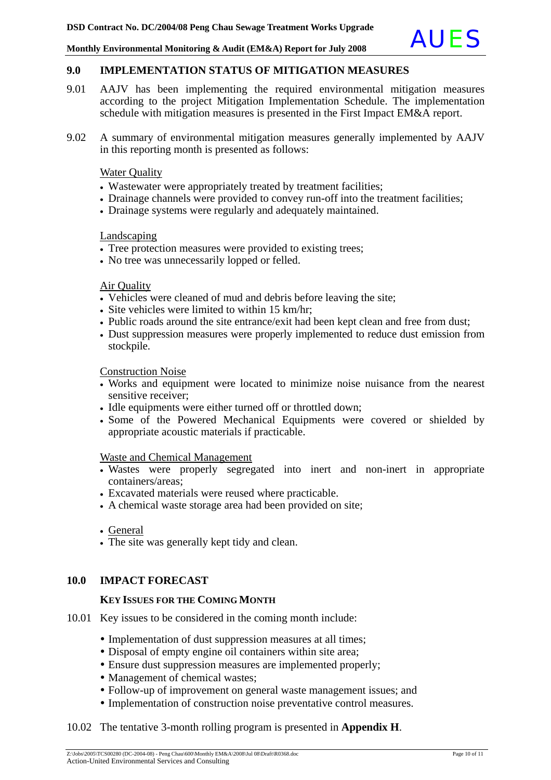#### **9.0 IMPLEMENTATION STATUS OF MITIGATION MEASURES**

- 9.01 AAJV has been implementing the required environmental mitigation measures according to the project Mitigation Implementation Schedule. The implementation schedule with mitigation measures is presented in the First Impact EM&A report.
- 9.02 A summary of environmental mitigation measures generally implemented by AAJV in this reporting month is presented as follows:

#### **Water Quality**

- Wastewater were appropriately treated by treatment facilities;
- Drainage channels were provided to convey run-off into the treatment facilities;
- Drainage systems were regularly and adequately maintained.

#### Landscaping

- Tree protection measures were provided to existing trees;
- No tree was unnecessarily lopped or felled.

#### Air Quality

- Vehicles were cleaned of mud and debris before leaving the site;
- Site vehicles were limited to within 15 km/hr;
- Public roads around the site entrance/exit had been kept clean and free from dust;
- Dust suppression measures were properly implemented to reduce dust emission from stockpile.

Construction Noise

- Works and equipment were located to minimize noise nuisance from the nearest sensitive receiver;
- Idle equipments were either turned off or throttled down;
- Some of the Powered Mechanical Equipments were covered or shielded by appropriate acoustic materials if practicable.

#### Waste and Chemical Management

- Wastes were properly segregated into inert and non-inert in appropriate containers/areas;
- Excavated materials were reused where practicable.
- A chemical waste storage area had been provided on site;

• The site was generally kept tidy and clean.

#### **10.0 IMPACT FORECAST**

#### **KEY ISSUES FOR THE COMING MONTH**

- 10.01 Key issues to be considered in the coming month include:
	- Implementation of dust suppression measures at all times;
	- Disposal of empty engine oil containers within site area;
	- Ensure dust suppression measures are implemented properly;
	- Management of chemical wastes;
	- Follow-up of improvement on general waste management issues; and
	- Implementation of construction noise preventative control measures.

#### 10.02 The tentative 3-month rolling program is presented in **Appendix H**.

<sup>•</sup> General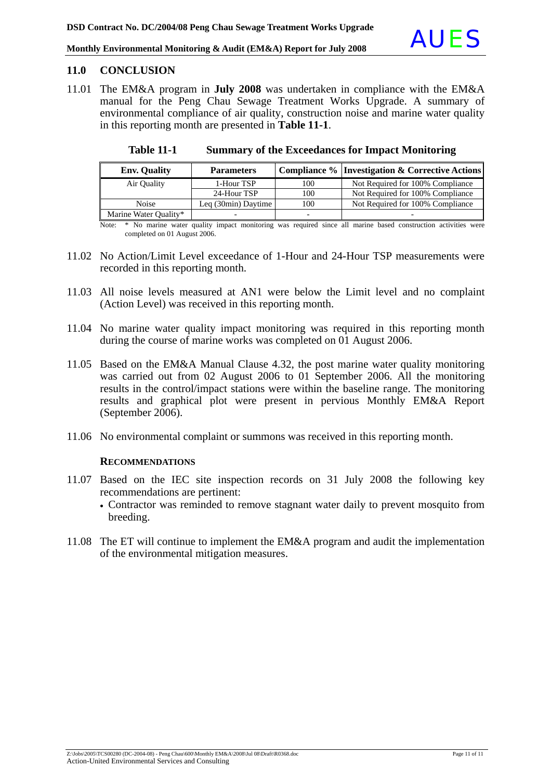#### **11.0 CONCLUSION**

11.01 The EM&A program in **July 2008** was undertaken in compliance with the EM&A manual for the Peng Chau Sewage Treatment Works Upgrade. A summary of environmental compliance of air quality, construction noise and marine water quality in this reporting month are presented in **Table 11-1**.

| <b>Env. Quality</b>   | <b>Parameters</b>   |     | Compliance %   Investigation & Corrective Actions |
|-----------------------|---------------------|-----|---------------------------------------------------|
| Air Ouality           | 1-Hour TSP          | 100 | Not Required for 100% Compliance                  |
|                       | 24-Hour TSP         | 100 | Not Required for 100% Compliance                  |
| <b>Noise</b>          | Leq (30min) Daytime | 100 | Not Required for 100% Compliance                  |
| Marine Water Quality* |                     |     |                                                   |

**Table 11-1 Summary of the Exceedances for Impact Monitoring**

Note: \* No marine water quality impact monitoring was required since all marine based construction activities were completed on 01 August 2006.

- 11.02 No Action/Limit Level exceedance of 1-Hour and 24-Hour TSP measurements were recorded in this reporting month.
- 11.03 All noise levels measured at AN1 were below the Limit level and no complaint (Action Level) was received in this reporting month.
- 11.04 No marine water quality impact monitoring was required in this reporting month during the course of marine works was completed on 01 August 2006.
- 11.05 Based on the EM&A Manual Clause 4.32, the post marine water quality monitoring was carried out from 02 August 2006 to 01 September 2006. All the monitoring results in the control/impact stations were within the baseline range. The monitoring results and graphical plot were present in pervious Monthly EM&A Report (September 2006).
- 11.06 No environmental complaint or summons was received in this reporting month.

#### **RECOMMENDATIONS**

- 11.07 Based on the IEC site inspection records on 31 July 2008 the following key recommendations are pertinent:
	- Contractor was reminded to remove stagnant water daily to prevent mosquito from breeding.
- 11.08 The ET will continue to implement the EM&A program and audit the implementation of the environmental mitigation measures.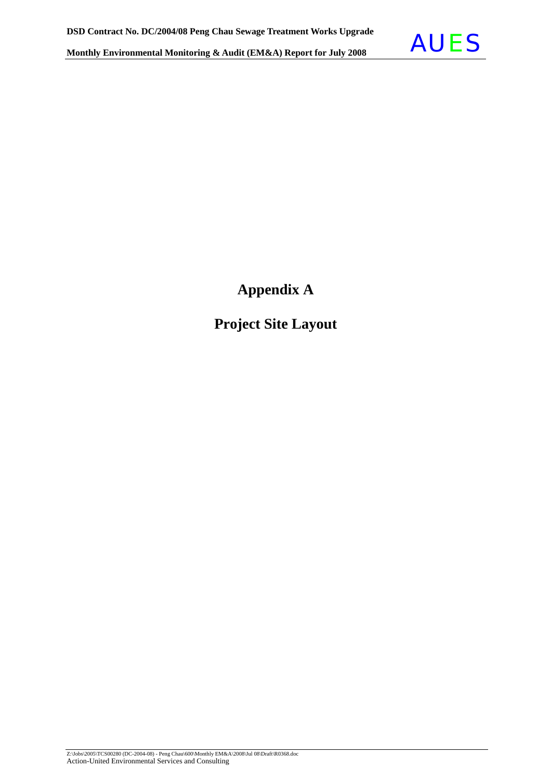

**Appendix A** 

**Project Site Layout**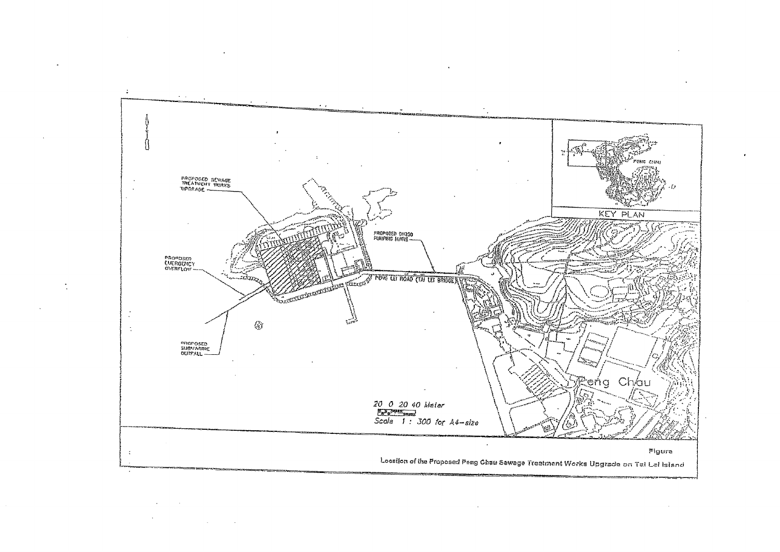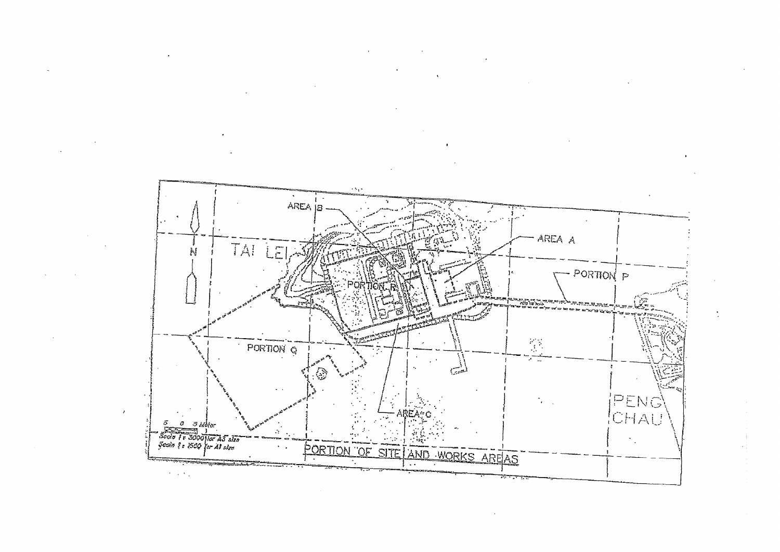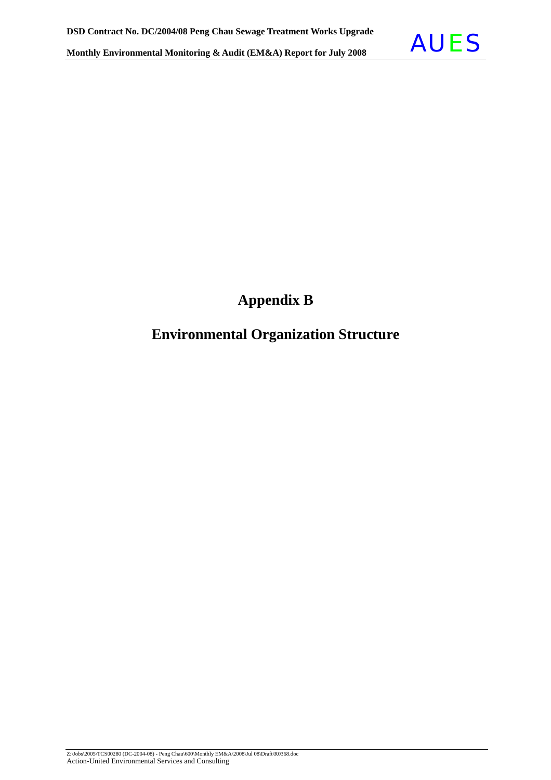

### **Appendix B**

### **Environmental Organization Structure**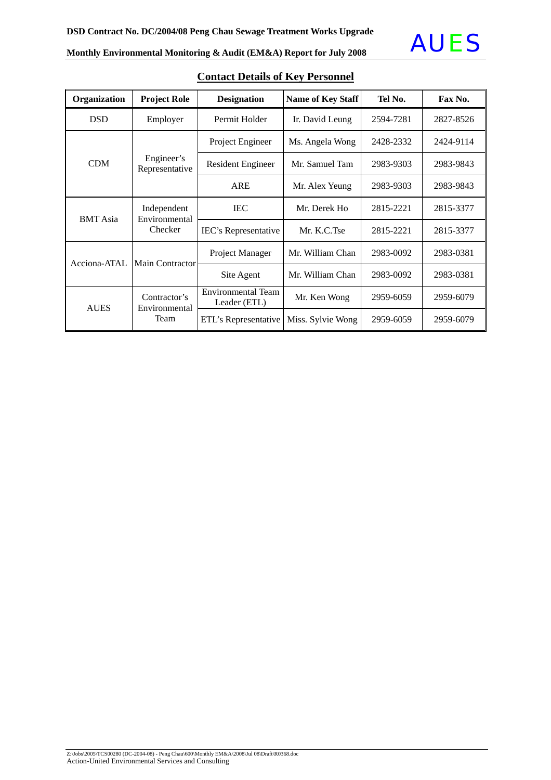

| Organization    | <b>Project Role</b>                     | <b>Designation</b>                 | Name of Key Staff | Tel No.   | Fax No.   |
|-----------------|-----------------------------------------|------------------------------------|-------------------|-----------|-----------|
| <b>DSD</b>      | Employer                                | Permit Holder                      | Ir. David Leung   | 2594-7281 | 2827-8526 |
| <b>CDM</b>      | Engineer's<br>Representative            | Project Engineer                   | Ms. Angela Wong   | 2428-2332 | 2424-9114 |
|                 |                                         | <b>Resident Engineer</b>           | Mr. Samuel Tam    | 2983-9303 | 2983-9843 |
|                 |                                         | <b>ARE</b>                         | Mr. Alex Yeung    | 2983-9303 | 2983-9843 |
| <b>BMT</b> Asia | Independent<br>Environmental<br>Checker | <b>IEC</b>                         | Mr. Derek Ho      | 2815-2221 | 2815-3377 |
|                 |                                         | IEC's Representative               | Mr. K.C.Tse       | 2815-2221 | 2815-3377 |
| Acciona-ATAL    | <b>Main Contractor</b>                  | Project Manager                    | Mr. William Chan  | 2983-0092 | 2983-0381 |
|                 |                                         | Site Agent                         | Mr. William Chan  | 2983-0092 | 2983-0381 |
| <b>AUES</b>     | Contractor's<br>Environmental<br>Team   | Environmental Team<br>Leader (ETL) | Mr. Ken Wong      | 2959-6059 | 2959-6079 |
|                 |                                         | ETL's Representative               | Miss. Sylvie Wong | 2959-6059 | 2959-6079 |

### **Contact Details of Key Personnel**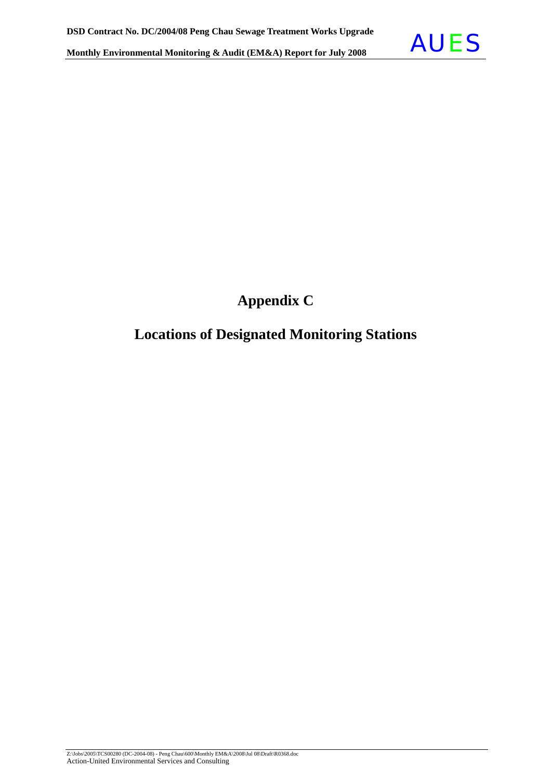

## **Appendix C**

### **Locations of Designated Monitoring Stations**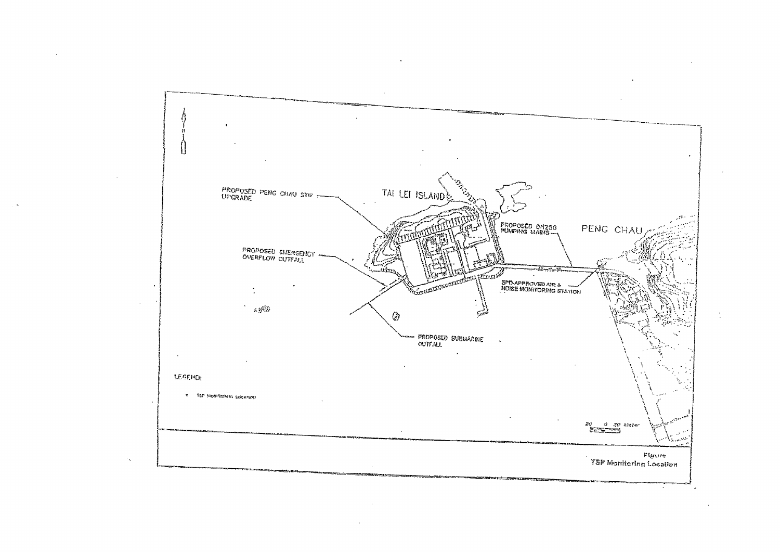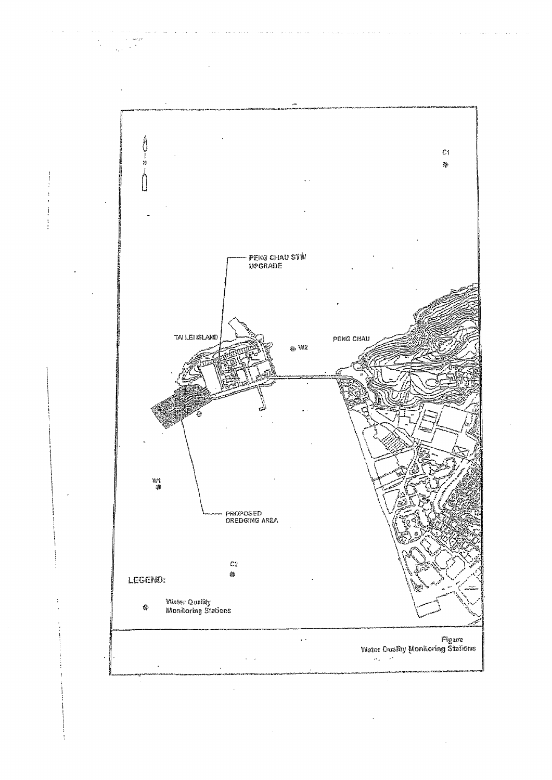

 $\sim$ i<br>San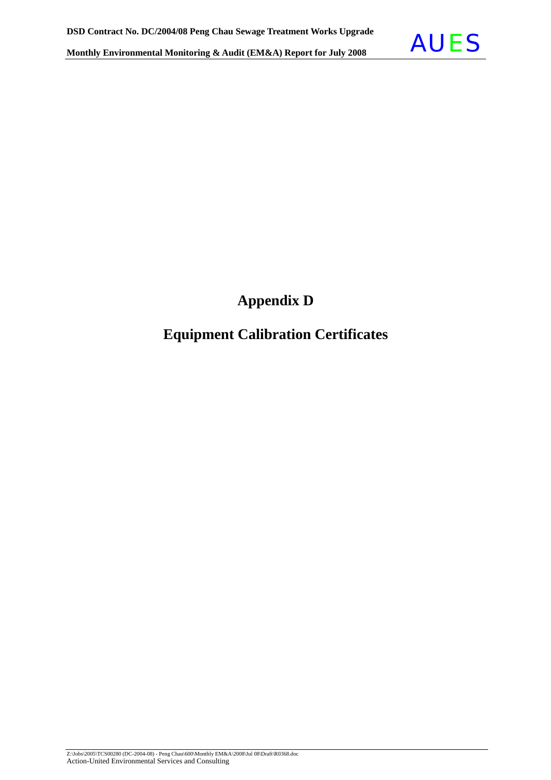

### **Appendix D**

### **Equipment Calibration Certificates**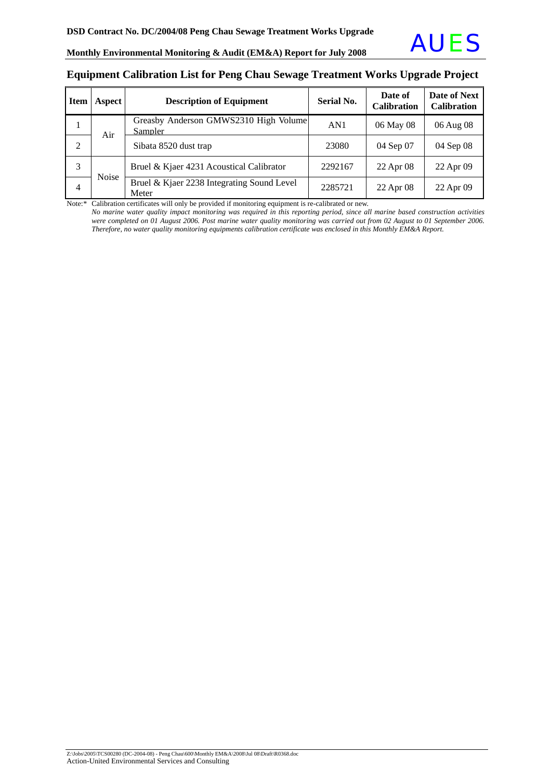#### **Equipment Calibration List for Peng Chau Sewage Treatment Works Upgrade Project**

| <b>Item</b> | Aspect       | <b>Description of Equipment</b>                     | <b>Serial No.</b> | Date of<br><b>Calibration</b> | Date of Next<br><b>Calibration</b> |
|-------------|--------------|-----------------------------------------------------|-------------------|-------------------------------|------------------------------------|
|             | Air          | Greasby Anderson GMWS2310 High Volume<br>Sampler    | AN1               | 06 May 08                     | 06 Aug 08                          |
| 2           |              | Sibata 8520 dust trap                               | 23080             | 04 Sep 07                     | 04 Sep 08                          |
| 3           | <b>Noise</b> | Bruel & Kjaer 4231 Acoustical Calibrator            | 2292167           | 22 Apr 08                     | 22 Apr 09                          |
| 4           |              | Bruel & Kjaer 2238 Integrating Sound Level<br>Meter | 2285721           | 22 Apr 08                     | 22 Apr 09                          |

Note:\* Calibration certificates will only be provided if monitoring equipment is re-calibrated or new.

*No marine* w*ater quality impact monitoring was required in this reporting period, since all marine based construction activities were completed on 01 August 2006. Post marine water quality monitoring was carried out from 02 August to 01 September 2006. Therefore, no water quality monitoring equipments calibration certificate was enclosed in this Monthly EM&A Report.*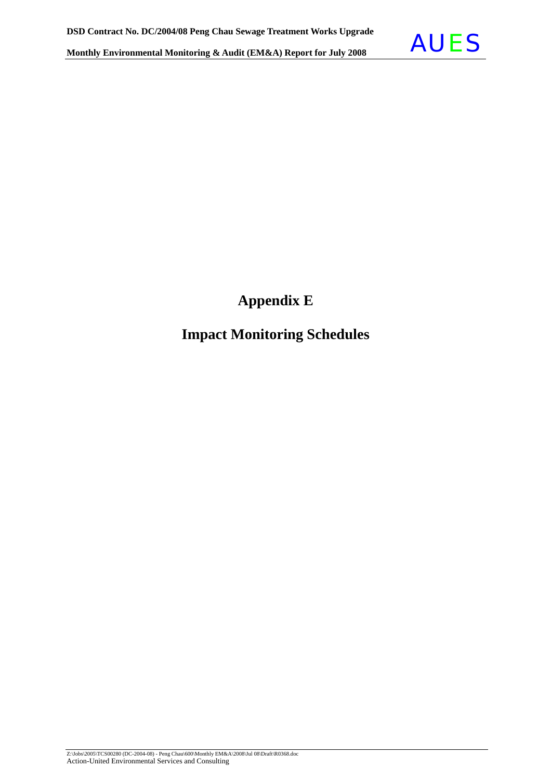

## **Appendix E**

### **Impact Monitoring Schedules**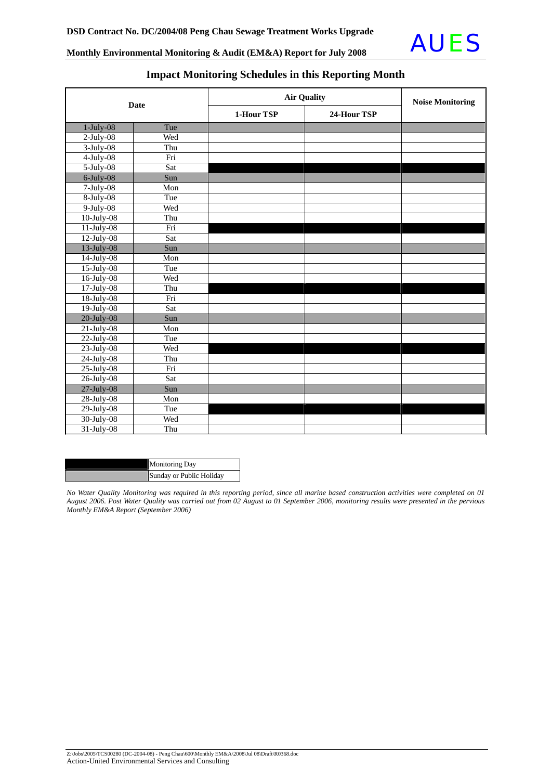

| <b>Date</b>      |     | <b>Air Quality</b> | <b>Noise Monitoring</b> |  |
|------------------|-----|--------------------|-------------------------|--|
|                  |     | 1-Hour TSP         | 24-Hour TSP             |  |
| $1-July-08$      | Tue |                    |                         |  |
| $2$ -July-08     | Wed |                    |                         |  |
| $3-July-08$      | Thu |                    |                         |  |
| $4$ -July-08     | Fri |                    |                         |  |
| $5$ -July-08     | Sat |                    |                         |  |
| $6$ -July-08     | Sun |                    |                         |  |
| $7$ -July-08     | Mon |                    |                         |  |
| $8-July-08$      | Tue |                    |                         |  |
| $9$ -July-08     | Wed |                    |                         |  |
| $10$ -July- $08$ | Thu |                    |                         |  |
| $11$ -July-08    | Fri |                    |                         |  |
| $12$ -July-08    | Sat |                    |                         |  |
| $13$ -July-08    | Sun |                    |                         |  |
| $14$ -July-08    | Mon |                    |                         |  |
| 15-July-08       | Tue |                    |                         |  |
| 16-July-08       | Wed |                    |                         |  |
| 17-July-08       | Thu |                    |                         |  |
| 18-July-08       | Fri |                    |                         |  |
| 19-July-08       | Sat |                    |                         |  |
| $20$ -July-08    | Sun |                    |                         |  |
| $21$ -July-08    | Mon |                    |                         |  |
| $22$ -July-08    | Tue |                    |                         |  |
| $23$ -July-08    | Wed |                    |                         |  |
| 24-July-08       | Thu |                    |                         |  |
| $25$ -July-08    | Fri |                    |                         |  |
| 26-July-08       | Sat |                    |                         |  |
| $27$ -July-08    | Sun |                    |                         |  |
| 28-July-08       | Mon |                    |                         |  |
| 29-July-08       | Tue |                    |                         |  |
| 30-July-08       | Wed |                    |                         |  |
| 31-July-08       | Thu |                    |                         |  |

### **Impact Monitoring Schedules in this Reporting Month**

| <b>Monitoring Day</b>    |
|--------------------------|
| Sunday or Public Holiday |

*No Water Quality Monitoring was required in this reporting period, since all marine based construction activities were completed on 01 August 2006. Post Water Quality was carried out from 02 August to 01 September 2006, monitoring results were presented in the pervious Monthly EM&A Report (September 2006)*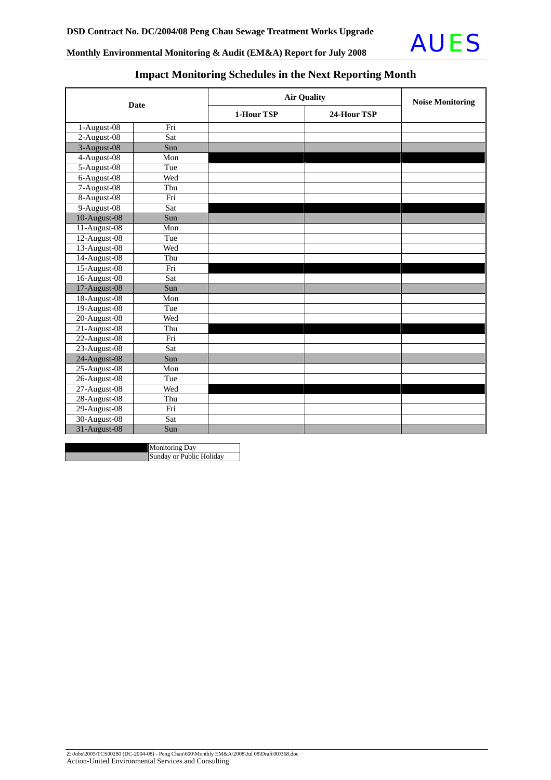

### **Impact Monitoring Schedules in the Next Reporting Month**

| <b>Date</b>                       |                 | <b>Air Quality</b>        | <b>Noise Monitoring</b> |  |
|-----------------------------------|-----------------|---------------------------|-------------------------|--|
|                                   |                 | 1-Hour TSP<br>24-Hour TSP |                         |  |
| 1-August-08                       | Fri             |                           |                         |  |
| 2-August-08                       | Sat             |                           |                         |  |
| 3-August-08                       | Sun             |                           |                         |  |
| 4-August-08                       | Mon             |                           |                         |  |
| 5-August-08                       | Tue             |                           |                         |  |
| $6 - \overline{\text{August-08}}$ | Wed             |                           |                         |  |
| 7-August-08                       | Thu             |                           |                         |  |
| 8-August-08                       | Fri             |                           |                         |  |
| 9-August-08                       | Sat             |                           |                         |  |
| 10-August-08                      | Sun             |                           |                         |  |
| 11-August-08                      | Mon             |                           |                         |  |
| 12-August-08                      | Tue             |                           |                         |  |
| 13-August-08                      | Wed             |                           |                         |  |
| 14-August-08                      | Thu             |                           |                         |  |
| 15-August-08                      | Fri             |                           |                         |  |
| 16-August-08                      | Sat             |                           |                         |  |
| 17-August-08                      | Sun             |                           |                         |  |
| 18-August-08                      | Mon             |                           |                         |  |
| 19-August-08                      | Tue             |                           |                         |  |
| 20-August-08                      | Wed             |                           |                         |  |
| 21-August-08                      | Thu             |                           |                         |  |
| 22-August-08                      | Fri             |                           |                         |  |
| 23-August-08                      | Sat             |                           |                         |  |
| 24-August-08                      | Sun             |                           |                         |  |
| 25-August-08                      | Mon             |                           |                         |  |
| 26-August-08                      | Tue             |                           |                         |  |
| 27-August-08                      | Wed             |                           |                         |  |
| 28-August-08                      | Thu             |                           |                         |  |
| 29-August-08                      | $\overline{Fi}$ |                           |                         |  |
| 30-August-08                      | Sat             |                           |                         |  |
| 31-August-08                      | Sun             |                           |                         |  |

Monitoring Day **Sunday or Public Holiday**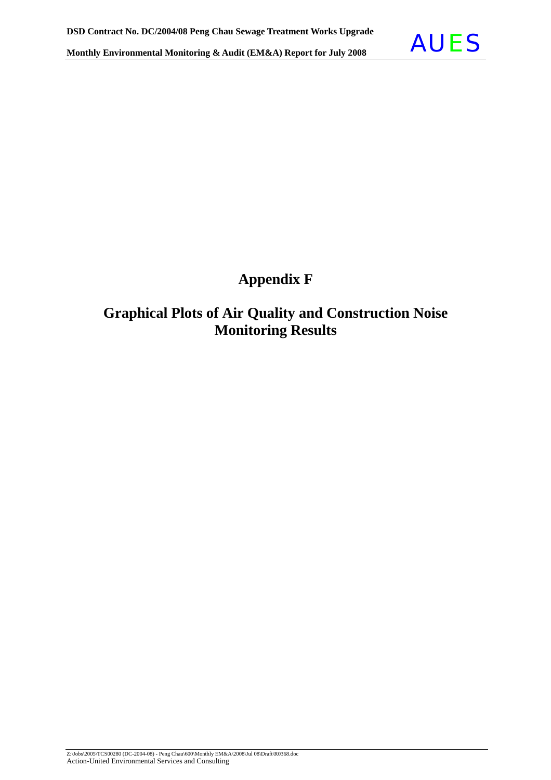

## **Appendix F**

### **Graphical Plots of Air Quality and Construction Noise Monitoring Results**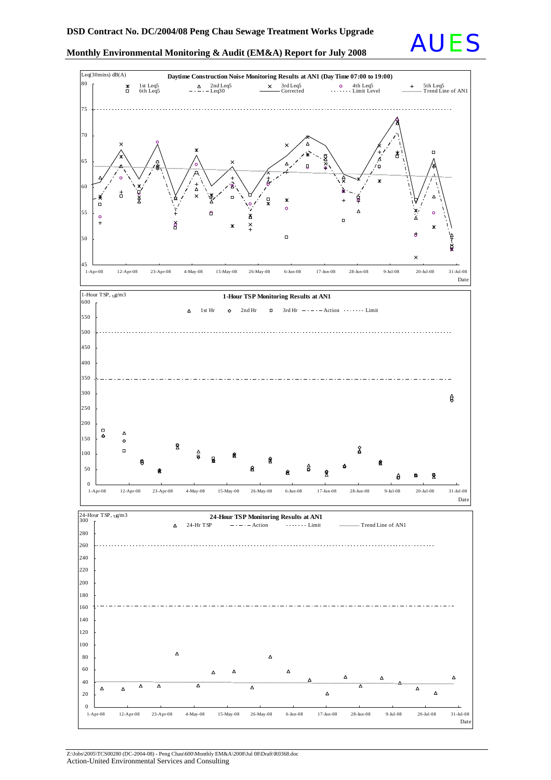



Z:\Jobs\2005\TCS00280 (DC-2004-08) - Peng Chau\600\Monthly EM&A\2008\Jul 08\Draft\R0368.doc Action-United Environmental Services and Consulting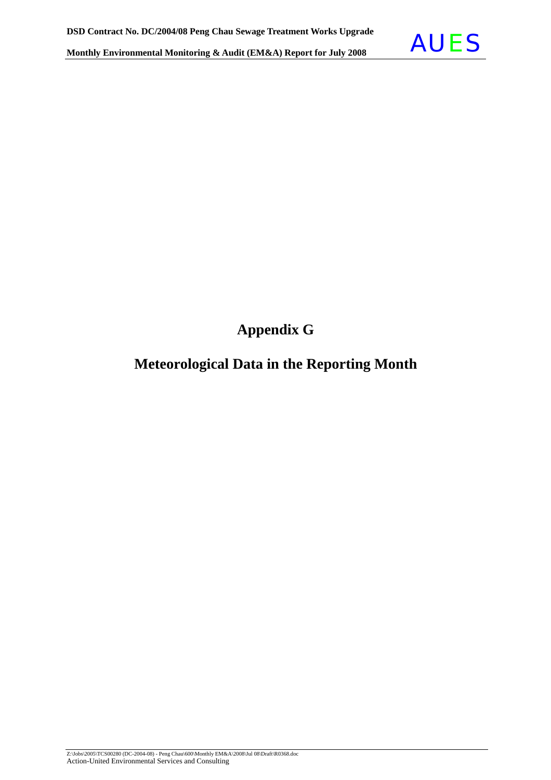

**Appendix G** 

### **Meteorological Data in the Reporting Month**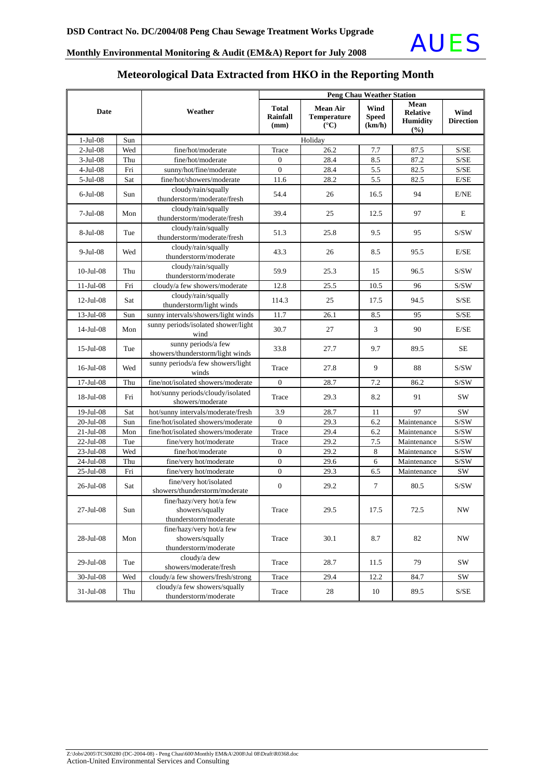

#### **Meteorological Data Extracted from HKO in the Reporting Month**

|                 |     |                                                                      | <b>Peng Chau Weather Station</b>        |                                                                |                                |                                                   |                                                    |
|-----------------|-----|----------------------------------------------------------------------|-----------------------------------------|----------------------------------------------------------------|--------------------------------|---------------------------------------------------|----------------------------------------------------|
| <b>Date</b>     |     | Weather                                                              | <b>Total</b><br><b>Rainfall</b><br>(mm) | <b>Mean Air</b><br><b>Temperature</b><br>$({}^{\circ}{\rm C})$ | Wind<br><b>Speed</b><br>(km/h) | Mean<br><b>Relative</b><br><b>Humidity</b><br>(%) | Wind<br><b>Direction</b>                           |
| $1-Jul-08$      | Sun |                                                                      |                                         | Holiday                                                        |                                |                                                   |                                                    |
| $2-Jul-08$      | Wed | fine/hot/moderate                                                    | Trace                                   | 26.2                                                           | 7.7                            | 87.5                                              | S/SE                                               |
| $3-Jul-08$      | Thu | fine/hot/moderate                                                    | $\mathbf{0}$                            | 28.4                                                           | 8.5                            | 87.2                                              | $\ensuremath{\mathrm{S}}/\ensuremath{\mathrm{SE}}$ |
| $4-Jul-08$      | Fri | sunny/hot/fine/moderate                                              | $\mathbf{0}$                            | 28.4                                                           | 5.5                            | 82.5                                              | S/SE                                               |
| 5-Jul-08        | Sat | fine/hot/showers/moderate                                            | 11.6                                    | 28.2                                                           | 5.5                            | 82.5                                              | E/SE                                               |
| $6$ -Jul-08     | Sun | cloudy/rain/squally<br>thunderstorm/moderate/fresh                   | 54.4                                    | 26                                                             | 16.5                           | 94                                                | E/NE                                               |
| $7-Jul-08$      | Mon | cloudy/rain/squally<br>thunderstorm/moderate/fresh                   | 39.4                                    | 25                                                             | 12.5                           | 97                                                | E                                                  |
| 8-Jul-08        | Tue | cloudy/rain/squally<br>thunderstorm/moderate/fresh                   | 51.3                                    | 25.8                                                           | 9.5                            | 95                                                | S/SW                                               |
| 9-Jul-08        | Wed | cloudy/rain/squally<br>thunderstorm/moderate                         | 43.3                                    | 26                                                             | 8.5                            | 95.5                                              | E/SE                                               |
| $10$ -Jul- $08$ | Thu | cloudy/rain/squally<br>thunderstorm/moderate                         | 59.9                                    | 25.3                                                           | 15                             | 96.5                                              | S/SW                                               |
| $11$ -Jul-08    | Fri | cloudy/a few showers/moderate                                        | 12.8                                    | 25.5                                                           | 10.5                           | 96                                                | S/SW                                               |
| $12$ -Jul-08    | Sat | cloudy/rain/squally<br>thunderstorm/light winds                      | 114.3                                   | 25                                                             | 17.5                           | 94.5                                              | S/SE                                               |
| 13-Jul-08       | Sun | sunny intervals/showers/light winds                                  | 11.7                                    | 26.1                                                           | 8.5                            | 95                                                | S/SE                                               |
| 14-Jul-08       | Mon | sunny periods/isolated shower/light<br>wind                          | 30.7                                    | 27                                                             | 3                              | 90                                                | E/SE                                               |
| $15$ -Jul-08    | Tue | sunny periods/a few<br>showers/thunderstorm/light winds              | 33.8                                    | 27.7                                                           | 9.7                            | 89.5                                              | <b>SE</b>                                          |
| $16$ -Jul-08    | Wed | sunny periods/a few showers/light<br>winds                           | Trace                                   | 27.8                                                           | 9                              | 88                                                | S/SW                                               |
| 17-Jul-08       | Thu | fine/not/isolated showers/moderate                                   | $\mathbf{0}$                            | 28.7                                                           | 7.2                            | 86.2                                              | S/SW                                               |
| $18$ -Jul-08    | Fri | hot/sunny periods/cloudy/isolated<br>showers/moderate                | Trace                                   | 29.3                                                           | 8.2                            | 91                                                | SW                                                 |
| 19-Jul-08       | Sat | hot/sunny intervals/moderate/fresh                                   | 3.9                                     | 28.7                                                           | 11                             | 97                                                | SW                                                 |
| 20-Jul-08       | Sun | fine/hot/isolated showers/moderate                                   | $\mathbf{0}$                            | 29.3                                                           | 6.2                            | Maintenance                                       | S/SW                                               |
| $21-Jul-08$     | Mon | fine/hot/isolated showers/moderate                                   | Trace                                   | 29.4                                                           | 6.2                            | Maintenance                                       | $\mathrm{S} / \mathrm{SW}$                         |
| 22-Jul-08       | Tue | fine/very hot/moderate                                               | Trace                                   | 29.2                                                           | 7.5                            | Maintenance                                       | S/SW                                               |
| 23-Jul-08       | Wed | fine/hot/moderate                                                    | $\boldsymbol{0}$                        | 29.2                                                           | 8                              | Maintenance                                       | $\mathrm{S/SW}$                                    |
| 24-Jul-08       | Thu | fine/very hot/moderate                                               | $\boldsymbol{0}$                        | 29.6                                                           | 6                              | Maintenance                                       | S/SW                                               |
| 25-Jul-08       | Fri | fine/very hot/moderate                                               | $\boldsymbol{0}$                        | 29.3                                                           | 6.5                            | Maintenance                                       | SW                                                 |
| 26-Jul-08       | Sat | fine/very hot/isolated<br>showers/thunderstorm/moderate              | $\mathbf{0}$                            | 29.2                                                           | 7                              | 80.5                                              | S/SW                                               |
| 27-Jul-08       | Sun | fine/hazy/very hot/a few<br>showers/squally<br>thunderstorm/moderate | Trace                                   | 29.5                                                           | 17.5                           | 72.5                                              | NW                                                 |
| 28-Jul-08       | Mon | fine/hazy/very hot/a few<br>showers/squally<br>thunderstorm/moderate | Trace                                   | 30.1                                                           | 8.7                            | 82                                                | NW                                                 |
| 29-Jul-08       | Tue | cloudy/a dew<br>showers/moderate/fresh                               | Trace                                   | 28.7                                                           | 11.5                           | 79                                                | SW                                                 |
| 30-Jul-08       | Wed | cloudy/a few showers/fresh/strong                                    | Trace                                   | 29.4                                                           | 12.2                           | 84.7                                              | <b>SW</b>                                          |
| 31-Jul-08       | Thu | cloudy/a few showers/squally<br>thunderstorm/moderate                | Trace                                   | 28                                                             | 10                             | 89.5                                              | S/SE                                               |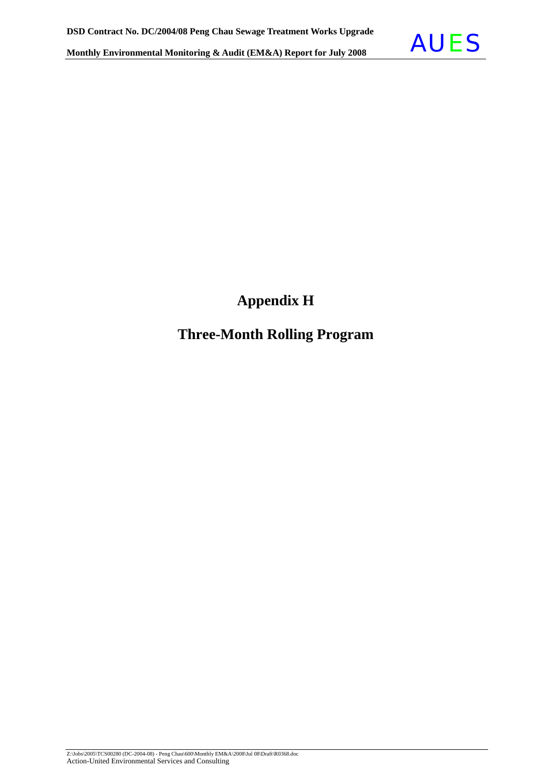

### **Appendix H**

### **Three-Month Rolling Program**